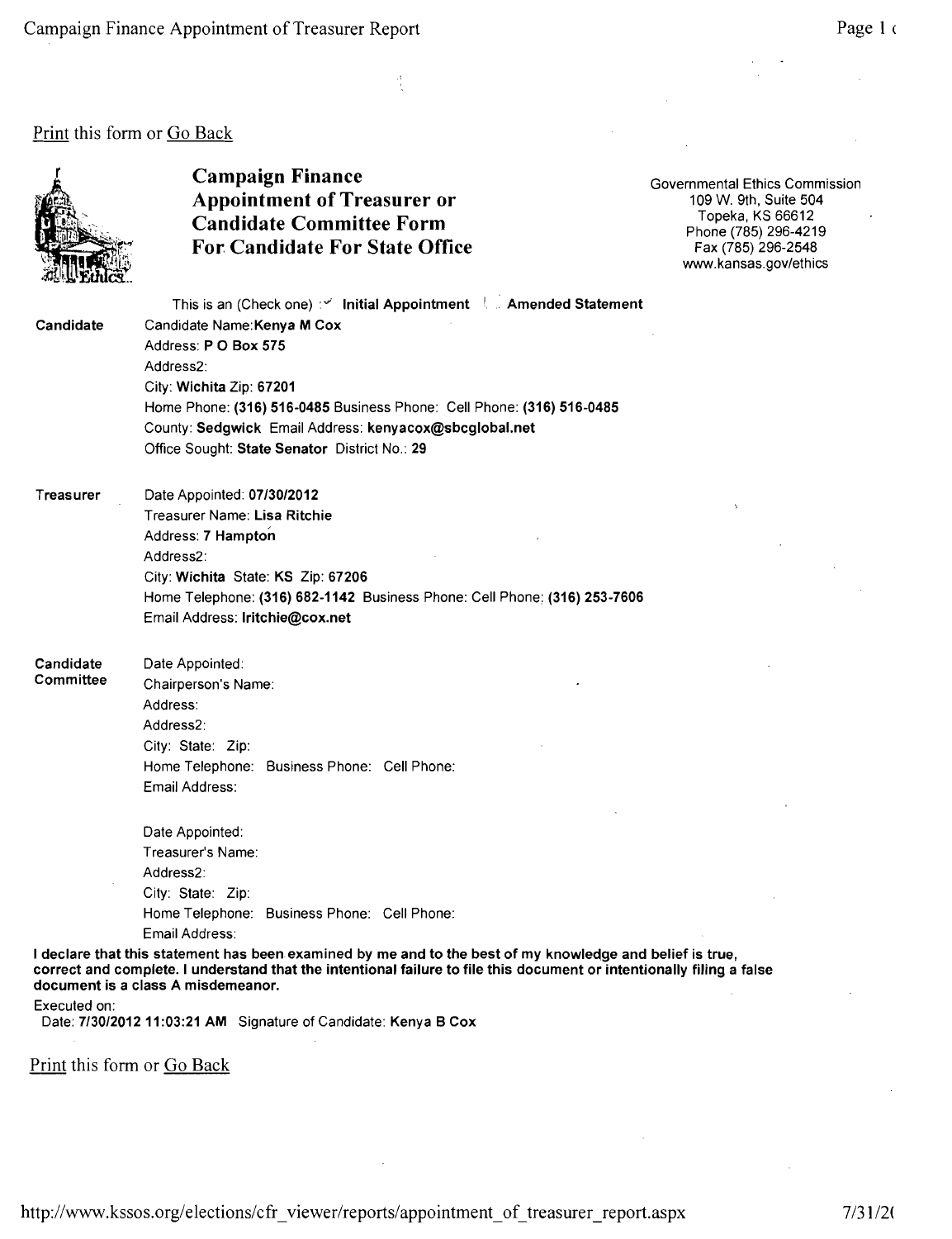## Print this form or Go Back



## Campaign Finance<br>
Appointment of Treasurer or<br>
Appointment of Treasurer or<br>  $\frac{109 \text{ W. 9th, Suite 504}}{109 \text{ W. 9th}}$ Appointment of Treasurer or 109 W. 9th, Suite 504<br>
Topeka. KS 66612 Candidate Committee Form<br>Form Phone (785) 296-4219<br>For Candidate For State Office<br>Fax (785) 296-2548 For Candidate For State Office

www.kansas.gov/ethics

This is an (Check one) :v' Initial Appointment | . Amended Statement Candidate Candidate Name:Kenya M Cox Address: PO Box 575 Address2: City: Wichita Zip: 67201 Home Phone: (316) 516-0485 Business Phone: Cell Phone: (316) 516-0485 County: Sedgwick Email Address: kenyacox@sbcglobal.net Office Sought: State Senator District No.: 29

Treasurer Date Appointed: 07/30/2012 Treasurer Name: Lisa Ritchie Address: 7 Hampton Address2: City: Wichita State: KS Zip: 67206 Home Telephone: (316) 682-1142 Business Phone: Cell Phone: (316) 253-7606 Email Address: Iritchie@cox.net

Candidate Date Appointed: **Committee**  Chairperson's Name: Address: Address2: City: State: Zip: Home Telephone: Business Phone: Cell Phone: Email Address:

> Date Appointed: Treasurer's Name: Address2: City: State: Zip: Home Telephone: Business Phone: Cell Phone: Email Address:

I declare that this statement has been examined by me and to the best of my knowledge and belief is true, correct and complete. I understand that the intentional failure to file this document or intentionally filing a false document is a class A misdemeanor.

Executed on:

Date: 7/30/2012 11:03:21 AM Signature of Candidate: Kenya B Cox

Print this form or Go Back

http://www.kssos.org/elections/cfr\_viewer/reports/appointment\_of\_treasurer\_report.aspx 7/31/2(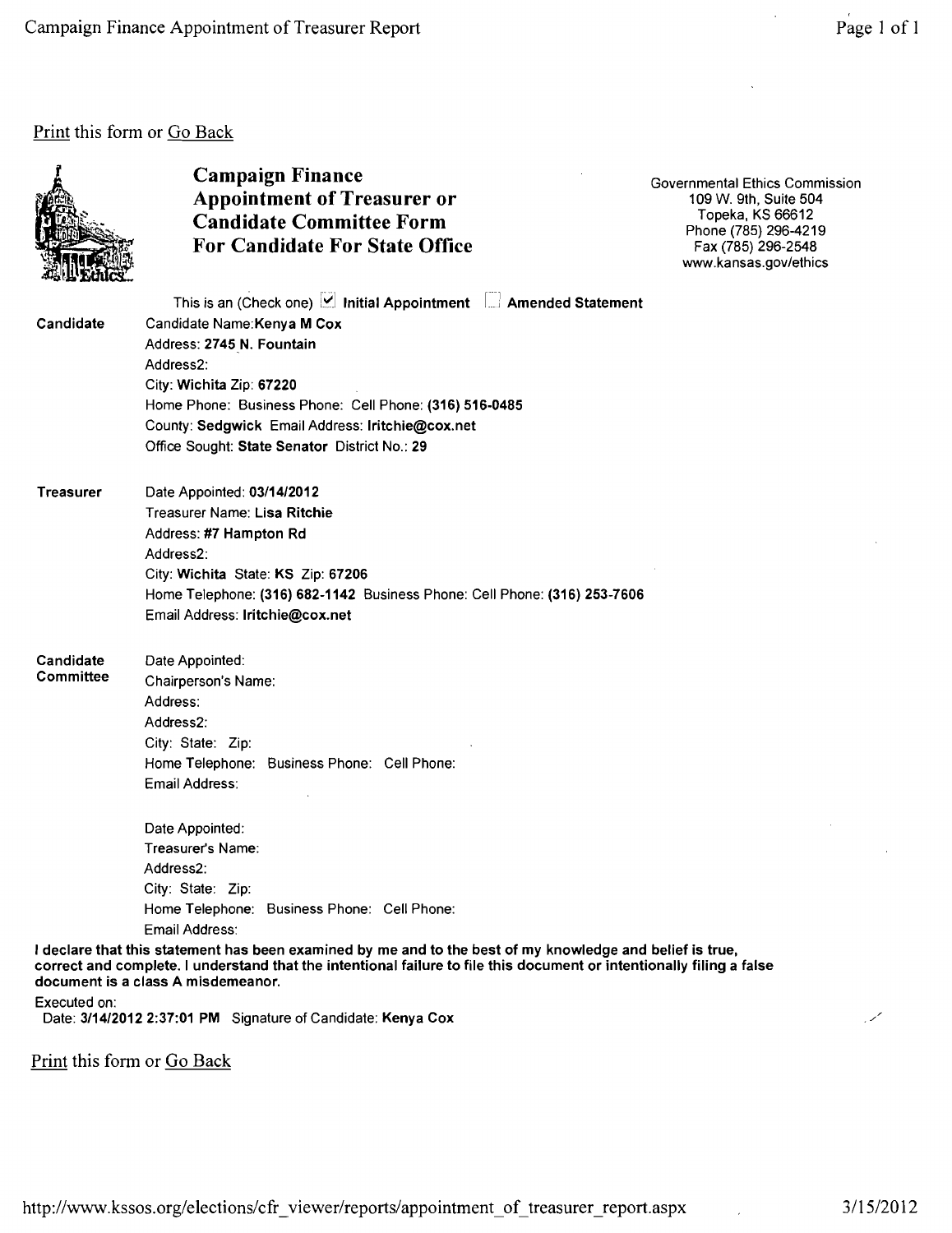## Print this form or Go Back



## Campaign Finance<br>
Appointment of Treasurer or<br>
Appointment of Treasurer or<br>  $\frac{109 \text{ W. 9th, Suite 504}}{109 \text{ W. 9th}}$ Appointment of Treasurer or 109 W. 9th, Suite 504<br>Condidate Committee Form 109 W. 9th, Suite 504 Candidate Committee Form<br>For Candidate For State Office<br>For Candidate For State Office<br>Fax (785) 296-2548 For Candidate For State Office

www.kansas.gov/ethics

| Candidate              | This is an (Check one)   Initial Appointment   Amended Statement<br>Candidate Name: Kenya M Cox<br>Address: 2745 N. Fountain<br>Address2:<br>City: Wichita Zip: 67220<br>Home Phone: Business Phone: Cell Phone: (316) 516-0485<br>County: Sedgwick Email Address: Iritchie@cox.net<br>Office Sought: State Senator District No.: 29 |
|------------------------|--------------------------------------------------------------------------------------------------------------------------------------------------------------------------------------------------------------------------------------------------------------------------------------------------------------------------------------|
| <b>Treasurer</b>       | Date Appointed: 03/14/2012<br>Treasurer Name: Lisa Ritchie<br>Address: #7 Hampton Rd<br>Address2:<br>City: Wichita State: KS Zip: 67206<br>Home Telephone: (316) 682-1142 Business Phone: Cell Phone: (316) 253-7606<br>Email Address: Iritchie@cox.net                                                                              |
| Candidate<br>Committee | Date Appointed:<br>Chairperson's Name:<br>Address:<br>Address2:<br>City: State: Zip:<br>Home Telephone: Business Phone: Cell Phone:<br>Email Address:                                                                                                                                                                                |
|                        | Date Appointed:<br>Treasurer's Name:<br>Address2:<br>City: State: Zip:<br>Home Telephone: Business Phone: Cell Phone:                                                                                                                                                                                                                |

Email Address:

I declare that this statement has been examined by me and to the best of my knowledge and belief is true, correct and complete. I understand that the intentional failure to file this document or intentionally filing a false document is a class A misdemeanor.

Executed on:

Date: 3/14/2012 2:37:01 PM Signature of Candidate: Kenya Cox

Print this form or Go Back

/